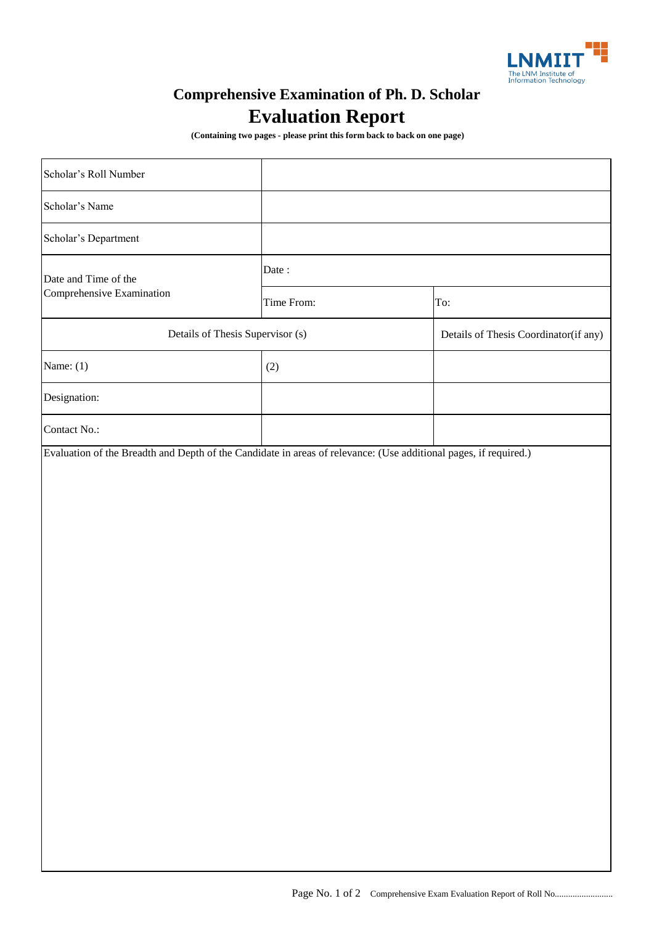

## **Comprehensive Examination of Ph. D. Scholar Evaluation Report**

 **(Containing two pages - please print this form back to back on one page)**

| Scholar's Roll Number                             |            |                                       |
|---------------------------------------------------|------------|---------------------------------------|
| Scholar's Name                                    |            |                                       |
| Scholar's Department                              |            |                                       |
| Date and Time of the<br>Comprehensive Examination | Date:      |                                       |
|                                                   | Time From: | To:                                   |
| Details of Thesis Supervisor (s)                  |            | Details of Thesis Coordinator(if any) |
| Name: $(1)$                                       | (2)        |                                       |
| Designation:                                      |            |                                       |
| Contact No.:                                      |            |                                       |
|                                                   |            |                                       |